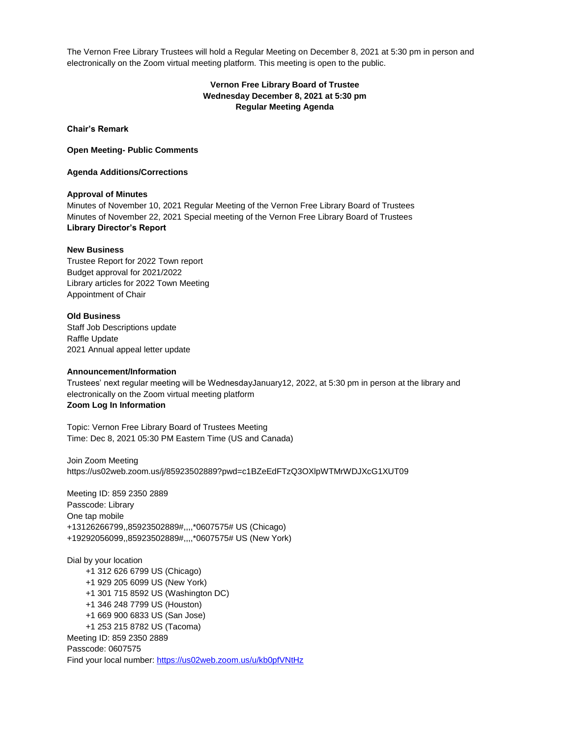The Vernon Free Library Trustees will hold a Regular Meeting on December 8, 2021 at 5:30 pm in person and electronically on the Zoom virtual meeting platform. This meeting is open to the public.

# **Vernon Free Library Board of Trustee Wednesday December 8, 2021 at 5:30 pm Regular Meeting Agenda**

**Chair's Remark**

**Open Meeting- Public Comments**

**Agenda Additions/Corrections**

### **Approval of Minutes**

Minutes of November 10, 2021 Regular Meeting of the Vernon Free Library Board of Trustees Minutes of November 22, 2021 Special meeting of the Vernon Free Library Board of Trustees **Library Director's Report**

#### **New Business**

Trustee Report for 2022 Town report Budget approval for 2021/2022 Library articles for 2022 Town Meeting Appointment of Chair

#### **Old Business**

Staff Job Descriptions update Raffle Update 2021 Annual appeal letter update

## **Announcement/Information**

Trustees' next regular meeting will be WednesdayJanuary12, 2022, at 5:30 pm in person at the library and electronically on the Zoom virtual meeting platform **Zoom Log In Information**

Topic: Vernon Free Library Board of Trustees Meeting Time: Dec 8, 2021 05:30 PM Eastern Time (US and Canada)

Join Zoom Meeting https://us02web.zoom.us/j/85923502889?pwd=c1BZeEdFTzQ3OXlpWTMrWDJXcG1XUT09

Meeting ID: 859 2350 2889 Passcode: Library One tap mobile +13126266799,,85923502889#,,,,\*0607575# US (Chicago) +19292056099,,85923502889#,,,,\*0607575# US (New York)

Dial by your location +1 312 626 6799 US (Chicago) +1 929 205 6099 US (New York) +1 301 715 8592 US (Washington DC) +1 346 248 7799 US (Houston) +1 669 900 6833 US (San Jose) +1 253 215 8782 US (Tacoma) Meeting ID: 859 2350 2889 Passcode: 0607575 Find your local number[: https://us02web.zoom.us/u/kb0pfVNtHz](about:blank)